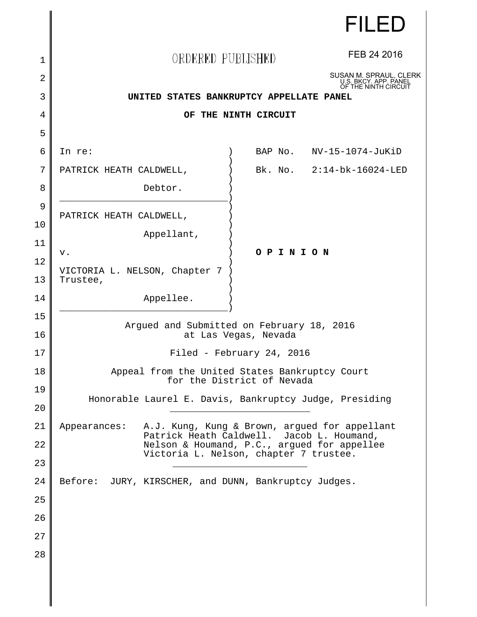|          | <b>FILED</b>                                                                             |  |
|----------|------------------------------------------------------------------------------------------|--|
| 1        | FEB 24 2016<br>ORDERED PUBLISHED                                                         |  |
| 2        | SUSAN M. SPRAUL, CLERK<br>U.S. BKCY. APP. PANEL                                          |  |
| 3        | OF THE NINTH CIRCUIT<br>UNITED STATES BANKRUPTCY APPELLATE PANEL                         |  |
| 4        | OF THE NINTH CIRCUIT                                                                     |  |
| 5        |                                                                                          |  |
| 6        | In re:<br>BAP No. NV-15-1074-JuKiD                                                       |  |
| 7        | Bk. No. 2:14-bk-16024-LED<br>PATRICK HEATH CALDWELL,                                     |  |
| 8        | Debtor.                                                                                  |  |
| 9<br>10  | PATRICK HEATH CALDWELL,                                                                  |  |
| 11       | Appellant,                                                                               |  |
| 12       | O P I N I O N<br>v.                                                                      |  |
| 13       | VICTORIA L. NELSON, Chapter 7<br>Trustee,                                                |  |
| 14       | Appellee.                                                                                |  |
| 15<br>16 | Argued and Submitted on February 18, 2016<br>at Las Vegas, Nevada                        |  |
| 17       | Filed - February 24, 2016                                                                |  |
| 18       | Appeal from the United States Bankruptcy Court<br>for the District of Nevada             |  |
| 19<br>20 | Honorable Laurel E. Davis, Bankruptcy Judge, Presiding                                   |  |
| 21       | A.J. Kung, Kung & Brown, argued for appellant<br>Appearances:                            |  |
| 22       | Patrick Heath Caldwell. Jacob L. Houmand,<br>Nelson & Houmand, P.C., argued for appellee |  |
| 23       | Victoria L. Nelson, chapter 7 trustee.                                                   |  |
| 24       | Before:<br>JURY, KIRSCHER, and DUNN, Bankruptcy Judges.                                  |  |
| 25       |                                                                                          |  |
| 26       |                                                                                          |  |
| 27       |                                                                                          |  |
| 28       |                                                                                          |  |
|          |                                                                                          |  |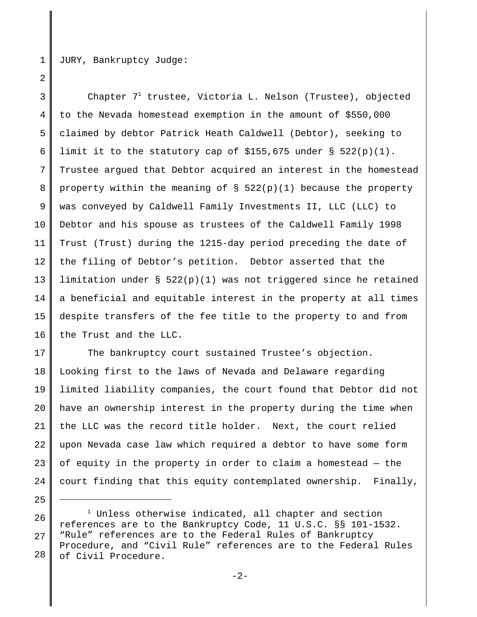1

2

25

JURY, Bankruptcy Judge:

3 4 5 6 7 8 9 10 11 12 13 14 15 16 Chapter  $7^1$  trustee, Victoria L. Nelson (Trustee), objected to the Nevada homestead exemption in the amount of \$550,000 claimed by debtor Patrick Heath Caldwell (Debtor), seeking to limit it to the statutory cap of  $$155,675$  under §  $522(p)(1)$ . Trustee argued that Debtor acquired an interest in the homestead property within the meaning of  $\S$  522(p)(1) because the property was conveyed by Caldwell Family Investments II, LLC (LLC) to Debtor and his spouse as trustees of the Caldwell Family 1998 Trust (Trust) during the 1215-day period preceding the date of the filing of Debtor's petition. Debtor asserted that the limitation under § 522(p)(1) was not triggered since he retained a beneficial and equitable interest in the property at all times despite transfers of the fee title to the property to and from the Trust and the LLC.

17 18 19 20 21 22 23 24 The bankruptcy court sustained Trustee's objection. Looking first to the laws of Nevada and Delaware regarding limited liability companies, the court found that Debtor did not have an ownership interest in the property during the time when the LLC was the record title holder. Next, the court relied upon Nevada case law which required a debtor to have some form of equity in the property in order to claim a homestead — the court finding that this equity contemplated ownership. Finally,

<sup>26</sup> 27 28  $^1$  Unless otherwise indicated, all chapter and section references are to the Bankruptcy Code, 11 U.S.C. §§ 101-1532. "Rule" references are to the Federal Rules of Bankruptcy Procedure, and "Civil Rule" references are to the Federal Rules of Civil Procedure.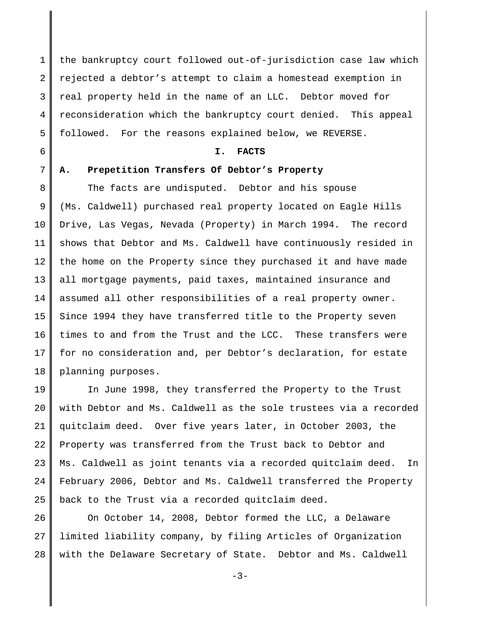1 2 3 4 5 the bankruptcy court followed out-of-jurisdiction case law which rejected a debtor's attempt to claim a homestead exemption in real property held in the name of an LLC. Debtor moved for reconsideration which the bankruptcy court denied. This appeal followed. For the reasons explained below, we REVERSE.

6

## **I. FACTS**

#### 7

# **A. Prepetition Transfers Of Debtor's Property**

8 9 10 11 12 13 14 15 16 17 18 The facts are undisputed. Debtor and his spouse (Ms. Caldwell) purchased real property located on Eagle Hills Drive, Las Vegas, Nevada (Property) in March 1994. The record shows that Debtor and Ms. Caldwell have continuously resided in the home on the Property since they purchased it and have made all mortgage payments, paid taxes, maintained insurance and assumed all other responsibilities of a real property owner. Since 1994 they have transferred title to the Property seven times to and from the Trust and the LCC. These transfers were for no consideration and, per Debtor's declaration, for estate planning purposes.

19 20 21 22 23  $2.4$ 25 In June 1998, they transferred the Property to the Trust with Debtor and Ms. Caldwell as the sole trustees via a recorded quitclaim deed. Over five years later, in October 2003, the Property was transferred from the Trust back to Debtor and Ms. Caldwell as joint tenants via a recorded quitclaim deed. In February 2006, Debtor and Ms. Caldwell transferred the Property back to the Trust via a recorded quitclaim deed.

26 27 28 On October 14, 2008, Debtor formed the LLC, a Delaware limited liability company, by filing Articles of Organization with the Delaware Secretary of State. Debtor and Ms. Caldwell

-3-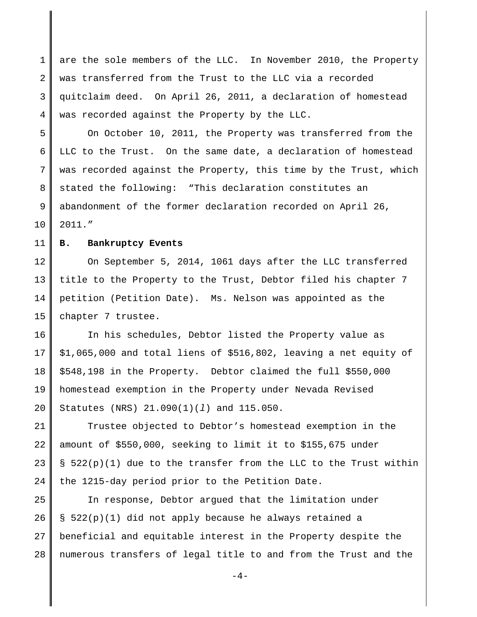1 2 3 4 are the sole members of the LLC. In November 2010, the Property was transferred from the Trust to the LLC via a recorded quitclaim deed. On April 26, 2011, a declaration of homestead was recorded against the Property by the LLC.

5 6 7 8 9 10 On October 10, 2011, the Property was transferred from the LLC to the Trust. On the same date, a declaration of homestead was recorded against the Property, this time by the Trust, which stated the following: "This declaration constitutes an abandonment of the former declaration recorded on April 26, 2011."

#### 11 **B. Bankruptcy Events**

12 13 14 15 On September 5, 2014, 1061 days after the LLC transferred title to the Property to the Trust, Debtor filed his chapter 7 petition (Petition Date). Ms. Nelson was appointed as the chapter 7 trustee.

16 17 18 19 20 In his schedules, Debtor listed the Property value as \$1,065,000 and total liens of \$516,802, leaving a net equity of \$548,198 in the Property. Debtor claimed the full \$550,000 homestead exemption in the Property under Nevada Revised Statutes (NRS) 21.090(1)(*l*) and 115.050.

21 22 23 24 Trustee objected to Debtor's homestead exemption in the amount of \$550,000, seeking to limit it to \$155,675 under § 522(p)(1) due to the transfer from the LLC to the Trust within the 1215-day period prior to the Petition Date.

25 26 27 28 In response, Debtor argued that the limitation under § 522(p)(1) did not apply because he always retained a beneficial and equitable interest in the Property despite the numerous transfers of legal title to and from the Trust and the

 $-4-$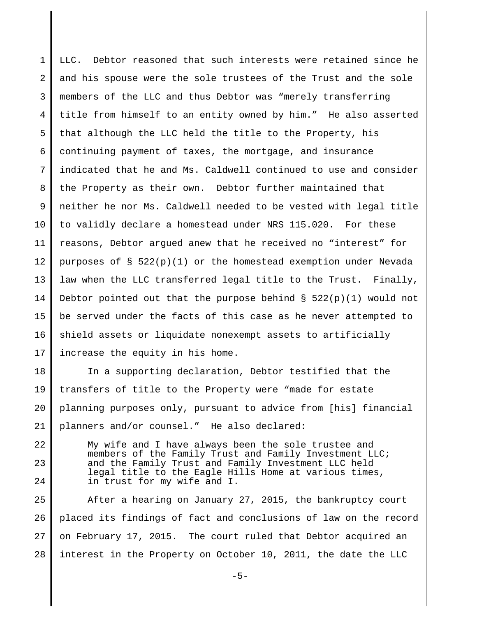1 2 3 4 5 6 7 8 9 10 11 12 13 14 15 16 17 LLC. Debtor reasoned that such interests were retained since he and his spouse were the sole trustees of the Trust and the sole members of the LLC and thus Debtor was "merely transferring title from himself to an entity owned by him." He also asserted that although the LLC held the title to the Property, his continuing payment of taxes, the mortgage, and insurance indicated that he and Ms. Caldwell continued to use and consider the Property as their own. Debtor further maintained that neither he nor Ms. Caldwell needed to be vested with legal title to validly declare a homestead under NRS 115.020. For these reasons, Debtor argued anew that he received no "interest" for purposes of  $\S$  522(p)(1) or the homestead exemption under Nevada law when the LLC transferred legal title to the Trust. Finally, Debtor pointed out that the purpose behind  $\S$  522(p)(1) would not be served under the facts of this case as he never attempted to shield assets or liquidate nonexempt assets to artificially increase the equity in his home.

18 19 20 21 In a supporting declaration, Debtor testified that the transfers of title to the Property were "made for estate planning purposes only, pursuant to advice from [his] financial planners and/or counsel." He also declared:

22 23 24 My wife and I have always been the sole trustee and members of the Family Trust and Family Investment LLC; and the Family Trust and Family Investment LLC held legal title to the Eagle Hills Home at various times, in trust for my wife and I.

25 26 27 28 After a hearing on January 27, 2015, the bankruptcy court placed its findings of fact and conclusions of law on the record on February 17, 2015. The court ruled that Debtor acquired an interest in the Property on October 10, 2011, the date the LLC

-5-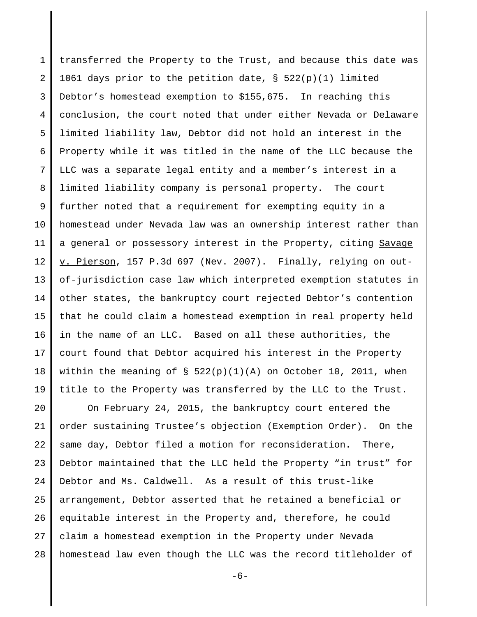1 2 3 4 5 6 7 8 9 10 11 12 13 14 15 16 17 18 19 transferred the Property to the Trust, and because this date was 1061 days prior to the petition date, § 522(p)(1) limited Debtor's homestead exemption to \$155,675. In reaching this conclusion, the court noted that under either Nevada or Delaware limited liability law, Debtor did not hold an interest in the Property while it was titled in the name of the LLC because the LLC was a separate legal entity and a member's interest in a limited liability company is personal property. The court further noted that a requirement for exempting equity in a homestead under Nevada law was an ownership interest rather than a general or possessory interest in the Property, citing Savage v. Pierson, 157 P.3d 697 (Nev. 2007). Finally, relying on outof-jurisdiction case law which interpreted exemption statutes in other states, the bankruptcy court rejected Debtor's contention that he could claim a homestead exemption in real property held in the name of an LLC. Based on all these authorities, the court found that Debtor acquired his interest in the Property within the meaning of  $\S$  522(p)(1)(A) on October 10, 2011, when title to the Property was transferred by the LLC to the Trust.

20 21 22 23 24 25 26 27 28 On February 24, 2015, the bankruptcy court entered the order sustaining Trustee's objection (Exemption Order). On the same day, Debtor filed a motion for reconsideration. There, Debtor maintained that the LLC held the Property "in trust" for Debtor and Ms. Caldwell. As a result of this trust-like arrangement, Debtor asserted that he retained a beneficial or equitable interest in the Property and, therefore, he could claim a homestead exemption in the Property under Nevada homestead law even though the LLC was the record titleholder of

 $-6-$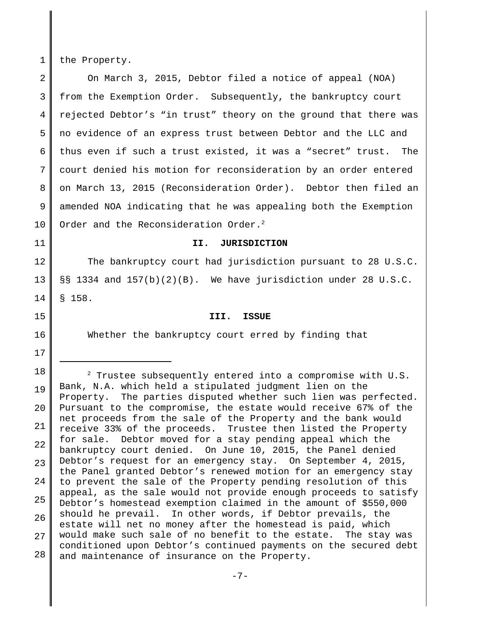1 the Property.

2 3 4 5 6 7 8 9 10 On March 3, 2015, Debtor filed a notice of appeal (NOA) from the Exemption Order. Subsequently, the bankruptcy court rejected Debtor's "in trust" theory on the ground that there was no evidence of an express trust between Debtor and the LLC and thus even if such a trust existed, it was a "secret" trust. The court denied his motion for reconsideration by an order entered on March 13, 2015 (Reconsideration Order). Debtor then filed an amended NOA indicating that he was appealing both the Exemption Order and the Reconsideration Order.<sup>2</sup>

11

## **II. JURISDICTION**

12 13 14 The bankruptcy court had jurisdiction pursuant to 28 U.S.C. §§ 1334 and 157(b)(2)(B). We have jurisdiction under 28 U.S.C. § 158.

Whether the bankruptcy court erred by finding that

**III. ISSUE**

16

15

17 18

19 20 21 22 23 24 25 26 27 28  $2$  Trustee subsequently entered into a compromise with U.S. Bank, N.A. which held a stipulated judgment lien on the Property. The parties disputed whether such lien was perfected. Pursuant to the compromise, the estate would receive 67% of the net proceeds from the sale of the Property and the bank would receive 33% of the proceeds. Trustee then listed the Property for sale. Debtor moved for a stay pending appeal which the bankruptcy court denied. On June 10, 2015, the Panel denied Debtor's request for an emergency stay. On September 4, 2015, the Panel granted Debtor's renewed motion for an emergency stay to prevent the sale of the Property pending resolution of this appeal, as the sale would not provide enough proceeds to satisfy Debtor's homestead exemption claimed in the amount of \$550,000 should he prevail. In other words, if Debtor prevails, the estate will net no money after the homestead is paid, which would make such sale of no benefit to the estate. The stay was conditioned upon Debtor's continued payments on the secured debt and maintenance of insurance on the Property.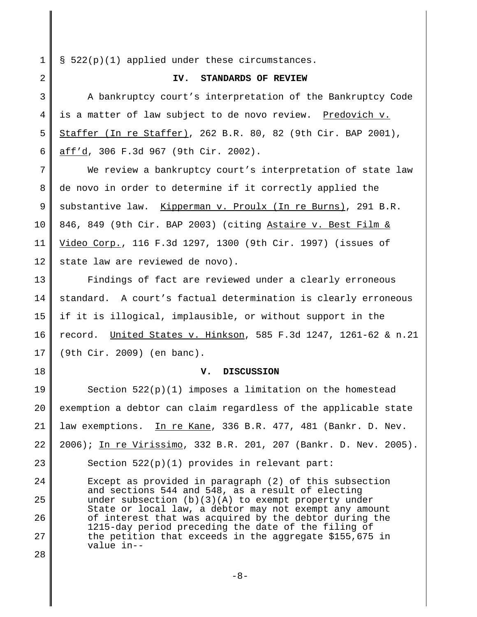1 § 522(p)(1) applied under these circumstances.

2

#### **IV. STANDARDS OF REVIEW**

3 4 5 6 A bankruptcy court's interpretation of the Bankruptcy Code is a matter of law subject to de novo review. Predovich v. Staffer (In re Staffer), 262 B.R. 80, 82 (9th Cir. BAP 2001), aff'd, 306 F.3d 967 (9th Cir. 2002).

7 8 9 10 11 12 We review a bankruptcy court's interpretation of state law de novo in order to determine if it correctly applied the substantive law. Kipperman v. Proulx (In re Burns), 291 B.R. 846, 849 (9th Cir. BAP 2003) (citing Astaire v. Best Film & Video Corp., 116 F.3d 1297, 1300 (9th Cir. 1997) (issues of state law are reviewed de novo).

13 14 15 16 17 Findings of fact are reviewed under a clearly erroneous standard. A court's factual determination is clearly erroneous if it is illogical, implausible, or without support in the record. United States v. Hinkson, 585 F.3d 1247, 1261-62 & n.21 (9th Cir. 2009) (en banc).

#### **V. DISCUSSION**

19 20 21 22 Section 522(p)(1) imposes a limitation on the homestead exemption a debtor can claim regardless of the applicable state law exemptions. In re Kane, 336 B.R. 477, 481 (Bankr. D. Nev. 2006); In re Virissimo, 332 B.R. 201, 207 (Bankr. D. Nev. 2005).

23

18

Section 522(p)(1) provides in relevant part:

 $2.4$ 25 26 27 28 Except as provided in paragraph (2) of this subsection and sections 544 and 548, as a result of electing under subsection  $(b)(3)(A)$  to exempt property under State or local law, a debtor may not exempt any amount of interest that was acquired by the debtor during the 1215-day period preceding the date of the filing of the petition that exceeds in the aggregate \$155,675 in value in--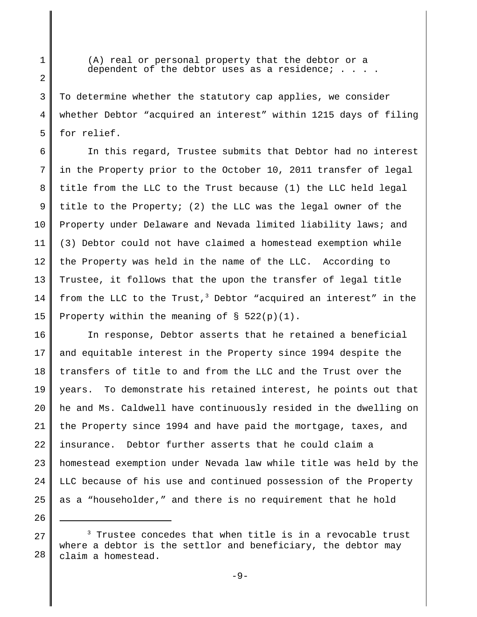(A) real or personal property that the debtor or a dependent of the debtor uses as a residence;  $\ldots$ .

1

2

3

5

26

4 To determine whether the statutory cap applies, we consider whether Debtor "acquired an interest" within 1215 days of filing for relief.

6 7 8 9 10 11 12 13 14 15 In this regard, Trustee submits that Debtor had no interest in the Property prior to the October 10, 2011 transfer of legal title from the LLC to the Trust because (1) the LLC held legal title to the Property; (2) the LLC was the legal owner of the Property under Delaware and Nevada limited liability laws; and (3) Debtor could not have claimed a homestead exemption while the Property was held in the name of the LLC. According to Trustee, it follows that the upon the transfer of legal title from the LLC to the Trust,<sup>3</sup> Debtor "acquired an interest" in the Property within the meaning of  $\S$  522(p)(1).

16 17 18 19 20 21 22 23  $2.4$ 25 In response, Debtor asserts that he retained a beneficial and equitable interest in the Property since 1994 despite the transfers of title to and from the LLC and the Trust over the years. To demonstrate his retained interest, he points out that he and Ms. Caldwell have continuously resided in the dwelling on the Property since 1994 and have paid the mortgage, taxes, and insurance. Debtor further asserts that he could claim a homestead exemption under Nevada law while title was held by the LLC because of his use and continued possession of the Property as a "householder," and there is no requirement that he hold

<sup>27</sup> 28  $3$  Trustee concedes that when title is in a revocable trust where a debtor is the settlor and beneficiary, the debtor may claim a homestead.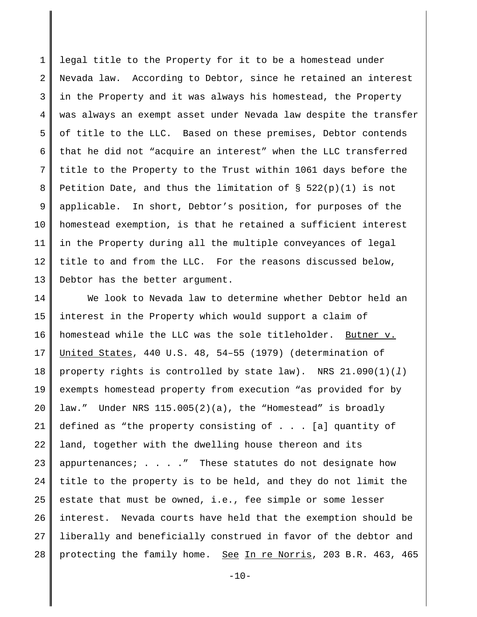1 2 3 4 5 6 7 8 9 10 11 12 13 legal title to the Property for it to be a homestead under Nevada law. According to Debtor, since he retained an interest in the Property and it was always his homestead, the Property was always an exempt asset under Nevada law despite the transfer of title to the LLC. Based on these premises, Debtor contends that he did not "acquire an interest" when the LLC transferred title to the Property to the Trust within 1061 days before the Petition Date, and thus the limitation of § 522(p)(1) is not applicable. In short, Debtor's position, for purposes of the homestead exemption, is that he retained a sufficient interest in the Property during all the multiple conveyances of legal title to and from the LLC. For the reasons discussed below, Debtor has the better argument.

14 15 16 17 18 19 20 21 22 23 24 25 26 27 28 We look to Nevada law to determine whether Debtor held an interest in the Property which would support a claim of homestead while the LLC was the sole titleholder. Butner v. United States, 440 U.S. 48, 54–55 (1979) (determination of property rights is controlled by state law). NRS 21.090(1)(*l*) exempts homestead property from execution "as provided for by law." Under NRS 115.005(2)(a), the "Homestead" is broadly defined as "the property consisting of . . . [a] quantity of land, together with the dwelling house thereon and its appurtenances; . . . ." These statutes do not designate how title to the property is to be held, and they do not limit the estate that must be owned, i.e., fee simple or some lesser interest. Nevada courts have held that the exemption should be liberally and beneficially construed in favor of the debtor and protecting the family home. See In re Norris, 203 B.R. 463, 465

 $-10-$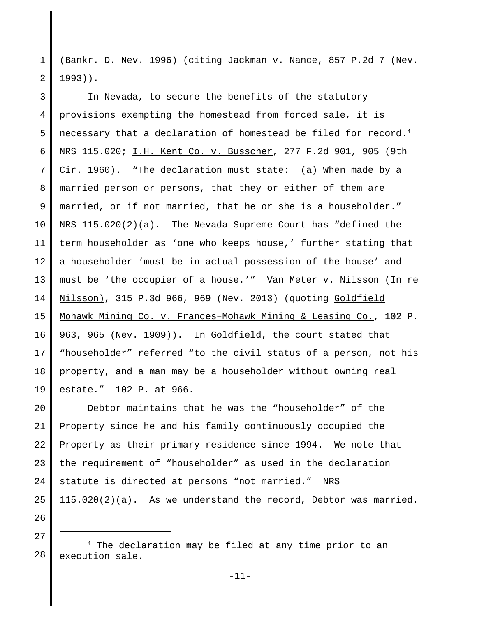1 2 (Bankr. D. Nev. 1996) (citing Jackman v. Nance, 857 P.2d 7 (Nev. 1993)).

3 4 5 6 7 8 9 10 11 12 13 14 15 16 17 18 19 In Nevada, to secure the benefits of the statutory provisions exempting the homestead from forced sale, it is necessary that a declaration of homestead be filed for record.<sup>4</sup> NRS 115.020; I.H. Kent Co. v. Busscher, 277 F.2d 901, 905 (9th Cir. 1960). "The declaration must state: (a) When made by a married person or persons, that they or either of them are married, or if not married, that he or she is a householder." NRS 115.020(2)(a). The Nevada Supreme Court has "defined the term householder as 'one who keeps house,' further stating that a householder 'must be in actual possession of the house' and must be 'the occupier of a house.'" Van Meter v. Nilsson (In re Nilsson), 315 P.3d 966, 969 (Nev. 2013) (quoting Goldfield Mohawk Mining Co. v. Frances–Mohawk Mining & Leasing Co., 102 P. 963, 965 (Nev. 1909)). In Goldfield, the court stated that "householder" referred "to the civil status of a person, not his property, and a man may be a householder without owning real estate." 102 P. at 966.

20 21 22 23 24 25 Debtor maintains that he was the "householder" of the Property since he and his family continuously occupied the Property as their primary residence since 1994. We note that the requirement of "householder" as used in the declaration statute is directed at persons "not married." NRS 115.020(2)(a). As we understand the record, Debtor was married.

27

26

<sup>28</sup> 4 The declaration may be filed at any time prior to an execution sale.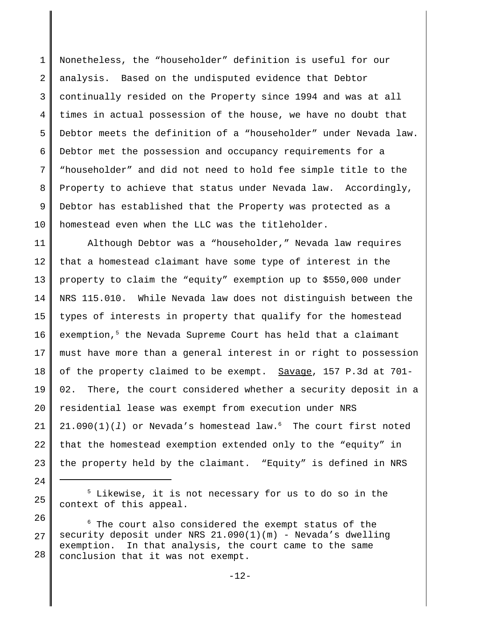1 2 3 4 5 6 7 8 9 10 Nonetheless, the "householder" definition is useful for our analysis. Based on the undisputed evidence that Debtor continually resided on the Property since 1994 and was at all times in actual possession of the house, we have no doubt that Debtor meets the definition of a "householder" under Nevada law. Debtor met the possession and occupancy requirements for a "householder" and did not need to hold fee simple title to the Property to achieve that status under Nevada law. Accordingly, Debtor has established that the Property was protected as a homestead even when the LLC was the titleholder.

11 12 13 14 15 16 17 18 19 20 21 22 23 Although Debtor was a "householder," Nevada law requires that a homestead claimant have some type of interest in the property to claim the "equity" exemption up to \$550,000 under NRS 115.010. While Nevada law does not distinguish between the types of interests in property that qualify for the homestead exemption,<sup>5</sup> the Nevada Supreme Court has held that a claimant must have more than a general interest in or right to possession of the property claimed to be exempt. Savage, 157 P.3d at 701- 02. There, the court considered whether a security deposit in a residential lease was exempt from execution under NRS  $21.090(1)(1)$  or Nevada's homestead law.<sup>6</sup> The court first noted that the homestead exemption extended only to the "equity" in the property held by the claimant. "Equity" is defined in NRS

24

<sup>25</sup> 5 Likewise, it is not necessary for us to do so in the context of this appeal.

<sup>26</sup> 27 28 6 The court also considered the exempt status of the security deposit under NRS 21.090(1)(m) - Nevada's dwelling exemption. In that analysis, the court came to the same conclusion that it was not exempt.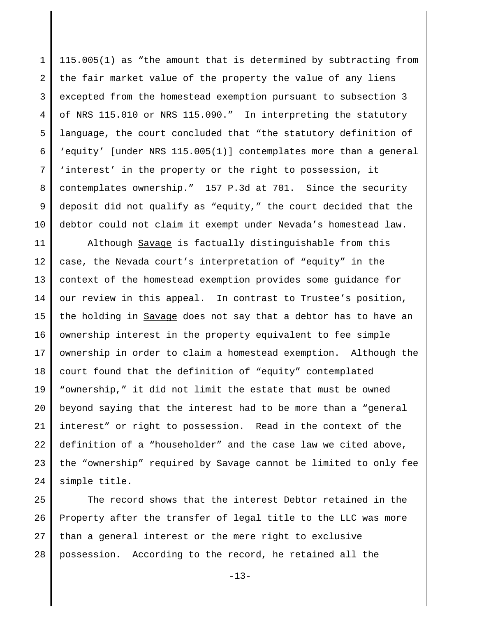1 2 3 4 5 6 7 8 9 10 115.005(1) as "the amount that is determined by subtracting from the fair market value of the property the value of any liens excepted from the homestead exemption pursuant to subsection 3 of NRS 115.010 or NRS 115.090." In interpreting the statutory language, the court concluded that "the statutory definition of 'equity' [under NRS 115.005(1)] contemplates more than a general 'interest' in the property or the right to possession, it contemplates ownership." 157 P.3d at 701. Since the security deposit did not qualify as "equity," the court decided that the debtor could not claim it exempt under Nevada's homestead law.

11 12 13 14 15 16 17 18 19 20 21 22 23 24 Although Savage is factually distinguishable from this case, the Nevada court's interpretation of "equity" in the context of the homestead exemption provides some guidance for our review in this appeal. In contrast to Trustee's position, the holding in Savage does not say that a debtor has to have an ownership interest in the property equivalent to fee simple ownership in order to claim a homestead exemption. Although the court found that the definition of "equity" contemplated "ownership," it did not limit the estate that must be owned beyond saying that the interest had to be more than a "general interest" or right to possession. Read in the context of the definition of a "householder" and the case law we cited above, the "ownership" required by Savage cannot be limited to only fee simple title.

25 26 27 28 The record shows that the interest Debtor retained in the Property after the transfer of legal title to the LLC was more than a general interest or the mere right to exclusive possession. According to the record, he retained all the

 $-13-$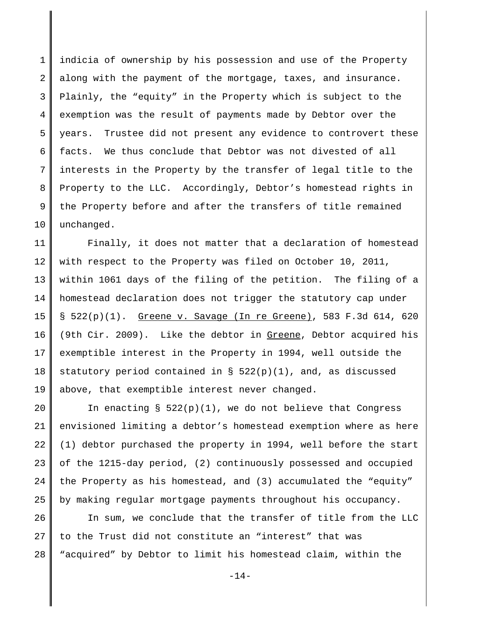1 2 3 4 5 6 7 8 9 10 indicia of ownership by his possession and use of the Property along with the payment of the mortgage, taxes, and insurance. Plainly, the "equity" in the Property which is subject to the exemption was the result of payments made by Debtor over the years. Trustee did not present any evidence to controvert these facts. We thus conclude that Debtor was not divested of all interests in the Property by the transfer of legal title to the Property to the LLC. Accordingly, Debtor's homestead rights in the Property before and after the transfers of title remained unchanged.

11 12 13 14 15 16 17 18 19 Finally, it does not matter that a declaration of homestead with respect to the Property was filed on October 10, 2011, within 1061 days of the filing of the petition. The filing of a homestead declaration does not trigger the statutory cap under § 522(p)(1). Greene v. Savage (In re Greene), 583 F.3d 614, 620 (9th Cir. 2009). Like the debtor in Greene, Debtor acquired his exemptible interest in the Property in 1994, well outside the statutory period contained in  $\S$  522(p)(1), and, as discussed above, that exemptible interest never changed.

20 21 22 23 24 25 In enacting  $\S$  522(p)(1), we do not believe that Congress envisioned limiting a debtor's homestead exemption where as here (1) debtor purchased the property in 1994, well before the start of the 1215-day period, (2) continuously possessed and occupied the Property as his homestead, and (3) accumulated the "equity" by making regular mortgage payments throughout his occupancy.

26 27 28 In sum, we conclude that the transfer of title from the LLC to the Trust did not constitute an "interest" that was "acquired" by Debtor to limit his homestead claim, within the

 $-14-$